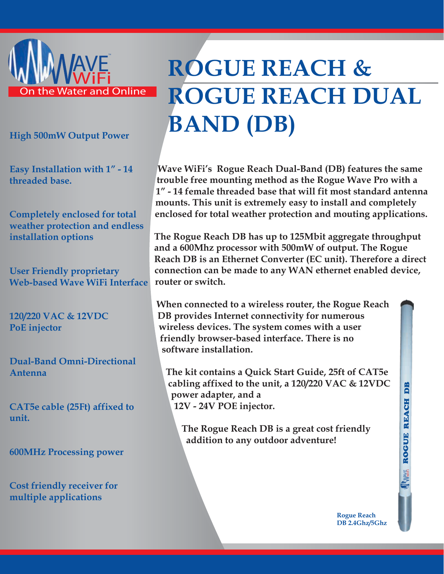

**High 500mW Output Power**

**Easy Installation with 1" - 14 threaded base.**

**Completely enclosed for total weather protection and endless installation options**

**User Friendly proprietary Web-based Wave WiFi Interface**

**120/220 VAC & 12VDC PoE injector**

**Dual-Band Omni-Directional Antenna** 

**CAT5e cable (25Ft) affixed to unit.**

**600MHz Processing power**

**Cost friendly receiver for multiple applications** 

## **ROGUE REACH & ROGUE REACH DUAL BAND (DB)**

**Wave WiFi's Rogue Reach Dual-Band (DB) features the same trouble free mounting method as the Rogue Wave Pro with a 1" - 14 female threaded base that will fit most standard antenna mounts. This unit is extremely easy to install and completely enclosed for total weather protection and mouting applications.** 

**The Rogue Reach DB has up to 125Mbit aggregate throughput and a 600Mhz processor with 500mW of output. The Rogue Reach DB is an Ethernet Converter (EC unit). Therefore a direct connection can be made to any WAN ethernet enabled device, router or switch.** 

**When connected to a wireless router, the Rogue Reach DB provides Internet connectivity for numerous wireless devices. The system comes with a user friendly browser-based interface. There is no software installation.** 

**The kit contains a Quick Start Guide, 25ft of CAT5e cabling affixed to the unit, a 120/220 VAC & 12VDC power adapter, and a 12V - 24V POE injector.** 

**The Rogue Reach DB is a great cost friendly addition to any outdoor adventure!**

**ME ROGUE REACH DB MARKE ROGUE REACH** 

B

**Rogue Reach DB 2.4Ghz/5Ghz**